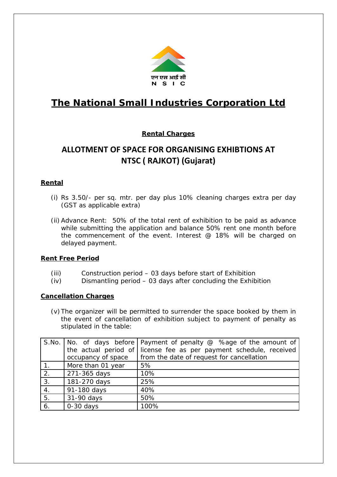

# **The National Small Industries Corporation Ltd**

## **Rental Charges**

## **ALLOTMENT OF SPACE FOR ORGANISING EXHIBTIONS AT NTSC ( RAJKOT) (Gujarat)**

## **Rental**

- (i) Rs 3.50/- per sq. mtr. per day plus 10% cleaning charges extra per day (GST as applicable extra)
- (ii) Advance Rent: 50% of the total rent of exhibition to be paid as advance while submitting the application and balance 50% rent one month before the commencement of the event. Interest  $@$  18% will be charged on delayed payment.

### **Rent Free Period**

- (iii) Construction period 03 days before start of Exhibition
- (iv) Dismantling period 03 days after concluding the Exhibition

### **Cancellation Charges**

(v)The organizer will be permitted to surrender the space booked by them in the event of cancellation of exhibition subject to payment of penalty as stipulated in the table:

|                | S.No.   No. of days before | Payment of penalty $@$ %age of the amount of  |
|----------------|----------------------------|-----------------------------------------------|
|                | the actual period of       | license fee as per payment schedule, received |
|                | occupancy of space         | from the date of request for cancellation     |
| 1 <sub>1</sub> | More than 01 year          | 5%                                            |
| 2.             | 271-365 days               | 10%                                           |
| 3.             | 181-270 days               | 25%                                           |
| 4.             | 91-180 days                | 40%                                           |
| 5.             | 31-90 days                 | 50%                                           |
| 6.             | $0-30$ days                | 100%                                          |